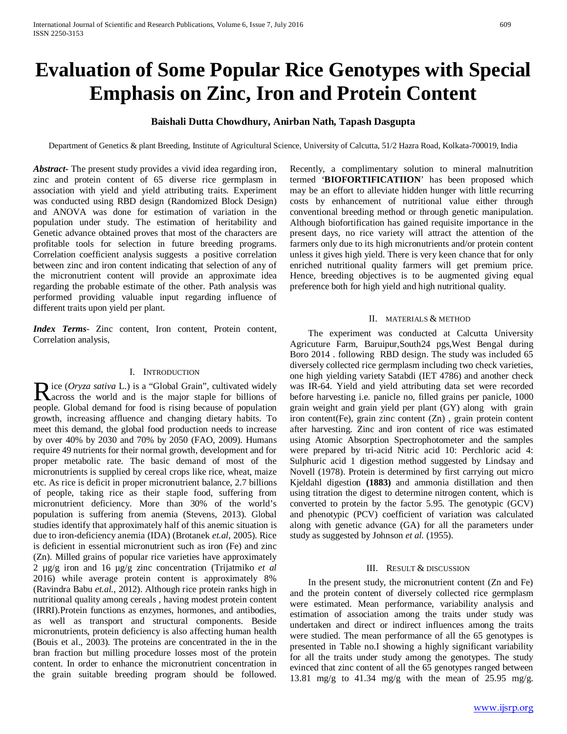# **Evaluation of Some Popular Rice Genotypes with Special Emphasis on Zinc, Iron and Protein Content**

## **Baishali Dutta Chowdhury, Anirban Nath, Tapash Dasgupta**

Department of Genetics & plant Breeding, Institute of Agricultural Science, University of Calcutta, 51/2 Hazra Road, Kolkata-700019, India

*Abstract***-** The present study provides a vivid idea regarding iron, zinc and protein content of 65 diverse rice germplasm in association with yield and yield attributing traits. Experiment was conducted using RBD design (Randomized Block Design) and ANOVA was done for estimation of variation in the population under study. The estimation of heritability and Genetic advance obtained proves that most of the characters are profitable tools for selection in future breeding programs. Correlation coefficient analysis suggests a positive correlation between zinc and iron content indicating that selection of any of the micronutrient content will provide an approximate idea regarding the probable estimate of the other. Path analysis was performed providing valuable input regarding influence of different traits upon yield per plant.

*Index Terms*- Zinc content, Iron content, Protein content, Correlation analysis,

### I. INTRODUCTION

ice (*Oryza sativa* L.) is a "Global Grain", cultivated widely  $\mathbf{R}$ ice (Oryza sativa L.) is a "Global Grain", cultivated widely across the world and is the major staple for billions of  $\mathbb{R}$ people. Global demand for food is rising because of population growth, increasing affluence and changing dietary habits. To meet this demand, the global food production needs to increase by over 40% by 2030 and 70% by 2050 (FAO, 2009). Humans require 49 nutrients for their normal growth, development and for proper metabolic rate. The basic demand of most of the micronutrients is supplied by cereal crops like rice, wheat, maize etc. As rice is deficit in proper micronutrient balance, 2.7 billions of people, taking rice as their staple food, suffering from micronutrient deficiency. More than 30% of the world's population is suffering from anemia (Stevens, 2013). Global studies identify that approximately half of this anemic situation is due to iron-deficiency anemia (IDA) (Brotanek *et.al,* 2005). Rice is deficient in essential micronutrient such as iron (Fe) and zinc (Zn). Milled grains of popular rice varieties have approximately 2 µg/g iron and 16 µg/g zinc concentration (Trijatmiko *et al* 2016) while average protein content is approximately 8% (Ravindra Babu *et.al.,* 2012). Although rice protein ranks high in nutritional quality among cereals , having modest protein content (IRRI).Protein functions as enzymes, hormones, and antibodies, as well as transport and structural components. Beside micronutrients, protein deficiency is also affecting human health (Bouis et al., 2003). The proteins are concentrated in the in the bran fraction but milling procedure losses most of the protein content. In order to enhance the micronutrient concentration in the grain suitable breeding program should be followed.

Recently, a complimentary solution to mineral malnutrition termed '**BIOFORTIFICATIION**' has been proposed which may be an effort to alleviate hidden hunger with little recurring costs by enhancement of nutritional value either through conventional breeding method or through genetic manipulation. Although biofortification has gained requisite importance in the present days, no rice variety will attract the attention of the farmers only due to its high micronutrients and/or protein content unless it gives high yield. There is very keen chance that for only enriched nutritional quality farmers will get premium price. Hence, breeding objectives is to be augmented giving equal preference both for high yield and high nutritional quality.

### II. MATERIALS & METHOD

 The experiment was conducted at Calcutta University Agricuture Farm, Baruipur,South24 pgs,West Bengal during Boro 2014 . following RBD design. The study was included 65 diversely collected rice germplasm including two check varieties, one high yielding variety Satabdi (IET 4786) and another check was IR-64. Yield and yield attributing data set were recorded before harvesting i.e. panicle no, filled grains per panicle, 1000 grain weight and grain yield per plant (GY) along with grain iron content(Fe), grain zinc content (Zn) , grain protein content after harvesting. Zinc and iron content of rice was estimated using Atomic Absorption Spectrophotometer and the samples were prepared by tri-acid Nitric acid 10: Perchloric acid 4: Sulphuric acid 1 digestion method suggested by Lindsay and Novell (1978). Protein is determined by first carrying out micro Kjeldahl digestion **(1883)** and ammonia distillation and then using titration the digest to determine nitrogen content, which is converted to protein by the factor 5.95. The genotypic (GCV) and phenotypic (PCV) coefficient of variation was calculated along with genetic advance (GA) for all the parameters under study as suggested by Johnson *et al.* (1955).

### III. RESULT & DISCUSSION

 In the present study, the micronutrient content (Zn and Fe) and the protein content of diversely collected rice germplasm were estimated. Mean performance, variability analysis and estimation of association among the traits under study was undertaken and direct or indirect influences among the traits were studied. The mean performance of all the 65 genotypes is presented in Table no.I showing a highly significant variability for all the traits under study among the genotypes. The study evinced that zinc content of all the 65 genotypes ranged between 13.81 mg/g to 41.34 mg/g with the mean of 25.95 mg/g.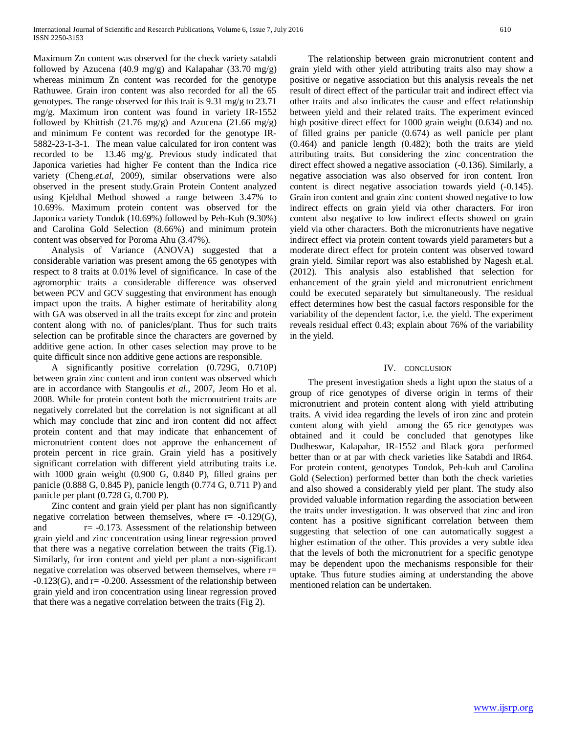Maximum Zn content was observed for the check variety satabdi followed by Azucena (40.9 mg/g) and Kalapahar (33.70 mg/g) whereas minimum Zn content was recorded for the genotype Rathuwee. Grain iron content was also recorded for all the 65 genotypes. The range observed for this trait is 9.31 mg/g to 23.71 mg/g. Maximum iron content was found in variety IR-1552 followed by Khittish (21.76 mg/g) and Azucena (21.66 mg/g) and minimum Fe content was recorded for the genotype IR-5882-23-1-3-1. The mean value calculated for iron content was recorded to be 13.46 mg/g. Previous study indicated that Japonica varieties had higher Fe content than the Indica rice variety (Cheng.*et.al,* 2009), similar observations were also observed in the present study.Grain Protein Content analyzed using Kjeldhal Method showed a range between 3.47% to 10.69%. Maximum protein content was observed for the Japonica variety Tondok (10.69%) followed by Peh-Kuh (9.30%) and Carolina Gold Selection (8.66%) and minimum protein content was observed for Poroma Ahu (3.47%).

 Analysis of Variance (ANOVA) suggested that a considerable variation was present among the 65 genotypes with respect to 8 traits at 0.01% level of significance. In case of the agromorphic traits a considerable difference was observed between PCV and GCV suggesting that environment has enough impact upon the traits. A higher estimate of heritability along with GA was observed in all the traits except for zinc and protein content along with no. of panicles/plant. Thus for such traits selection can be profitable since the characters are governed by additive gene action. In other cases selection may prove to be quite difficult since non additive gene actions are responsible.

 A significantly positive correlation (0.729G, 0.710P) between grain zinc content and iron content was observed which are in accordance with Stangoulis *et al.,* 2007, Jeom Ho et al. 2008. While for protein content both the micronutrient traits are negatively correlated but the correlation is not significant at all which may conclude that zinc and iron content did not affect protein content and that may indicate that enhancement of micronutrient content does not approve the enhancement of protein percent in rice grain. Grain yield has a positively significant correlation with different yield attributing traits i.e. with 1000 grain weight (0.900 G, 0.840 P), filled grains per panicle (0.888 G, 0.845 P), panicle length (0.774 G, 0.711 P) and panicle per plant (0.728 G, 0.700 P).

 Zinc content and grain yield per plant has non significantly negative correlation between themselves, where  $r = -0.129(G)$ , and  $r = -0.173$ . Assessment of the relationship between grain yield and zinc concentration using linear regression proved that there was a negative correlation between the traits (Fig.1). Similarly, for iron content and yield per plant a non-significant negative correlation was observed between themselves, where r= -0.123(G), and r= -0.200. Assessment of the relationship between grain yield and iron concentration using linear regression proved that there was a negative correlation between the traits (Fig 2).

 The relationship between grain micronutrient content and grain yield with other yield attributing traits also may show a positive or negative association but this analysis reveals the net result of direct effect of the particular trait and indirect effect via other traits and also indicates the cause and effect relationship between yield and their related traits. The experiment evinced high positive direct effect for 1000 grain weight (0.634) and no. of filled grains per panicle (0.674) as well panicle per plant (0.464) and panicle length (0.482); both the traits are yield attributing traits. But considering the zinc concentration the direct effect showed a negative association (-0.136). Similarly, a negative association was also observed for iron content. Iron content is direct negative association towards yield (-0.145). Grain iron content and grain zinc content showed negative to low indirect effects on grain yield via other characters. For iron content also negative to low indirect effects showed on grain yield via other characters. Both the micronutrients have negative indirect effect via protein content towards yield parameters but a moderate direct effect for protein content was observed toward grain yield. Similar report was also established by Nagesh et.al. (2012). This analysis also established that selection for enhancement of the grain yield and micronutrient enrichment could be executed separately but simultaneously. The residual effect determines how best the casual factors responsible for the variability of the dependent factor, i.e. the yield. The experiment reveals residual effect 0.43; explain about 76% of the variability in the yield.

### IV. CONCLUSION

 The present investigation sheds a light upon the status of a group of rice genotypes of diverse origin in terms of their micronutrient and protein content along with yield attributing traits. A vivid idea regarding the levels of iron zinc and protein content along with yield among the 65 rice genotypes was obtained and it could be concluded that genotypes like Dudheswar, Kalapahar, IR-1552 and Black gora performed better than or at par with check varieties like Satabdi and IR64. For protein content, genotypes Tondok, Peh-kuh and Carolina Gold (Selection) performed better than both the check varieties and also showed a considerably yield per plant. The study also provided valuable information regarding the association between the traits under investigation. It was observed that zinc and iron content has a positive significant correlation between them suggesting that selection of one can automatically suggest a higher estimation of the other. This provides a very subtle idea that the levels of both the micronutrient for a specific genotype may be dependent upon the mechanisms responsible for their uptake. Thus future studies aiming at understanding the above mentioned relation can be undertaken.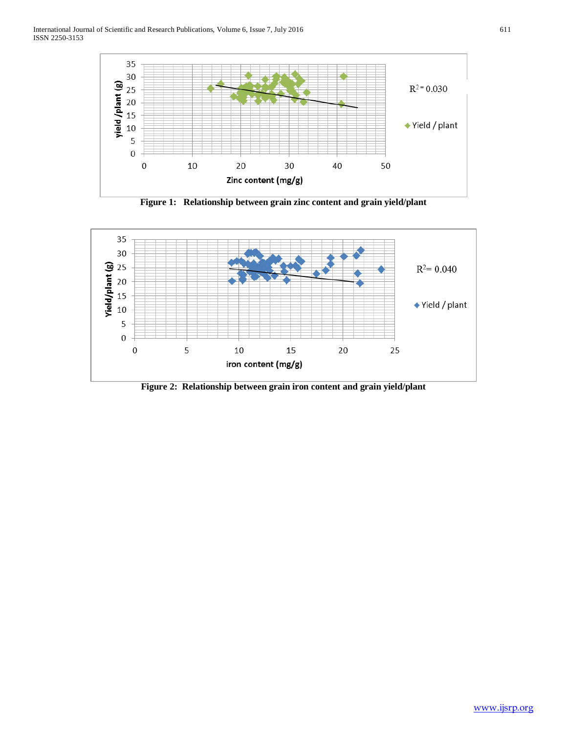

**Figure 1: Relationship between grain zinc content and grain yield/plant**



**Figure 2: Relationship between grain iron content and grain yield/plant**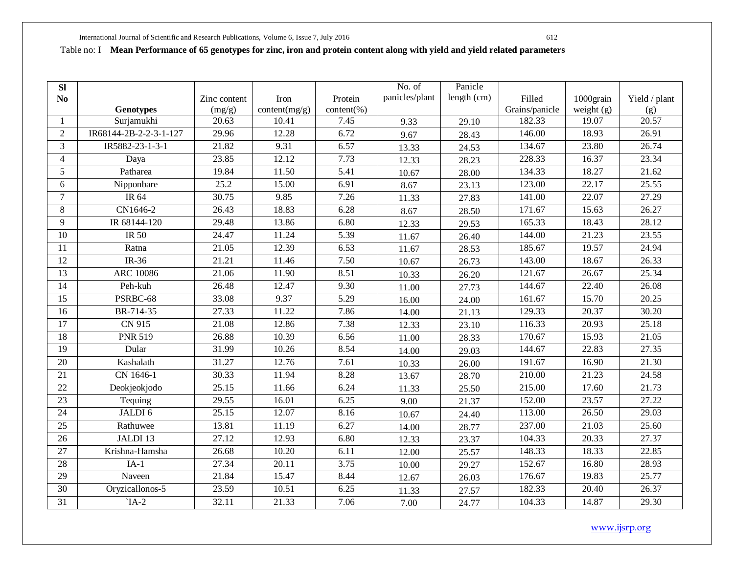# Table no: I Mean Performance of 65 genotypes for zinc, iron and protein content along with yield and yield related parameters

| SI              |                        |              |                    |              | No. of         | Panicle     |                |            |               |
|-----------------|------------------------|--------------|--------------------|--------------|----------------|-------------|----------------|------------|---------------|
| No              |                        | Zinc content | Iron               | Protein      | panicles/plant | length (cm) | Filled         | 1000grain  | Yield / plant |
|                 | <b>Genotypes</b>       | (mg/g)       | content(mg/g)      | $content$ %) |                |             | Grains/panicle | weight (g) | (g)           |
|                 | Surjamukhi             | 20.63        | 10.41              | 7.45         | 9.33           | 29.10       | 182.33         | 19.07      | 20.57         |
| $\overline{2}$  | IR68144-2B-2-2-3-1-127 | 29.96        | 12.28              | 6.72         | 9.67           | 28.43       | 146.00         | 18.93      | 26.91         |
| 3               | IR5882-23-1-3-1        | 21.82        | 9.31               | 6.57         | 13.33          | 24.53       | 134.67         | 23.80      | 26.74         |
| $\overline{4}$  | Daya                   | 23.85        | 12.12              | 7.73         | 12.33          | 28.23       | 228.33         | 16.37      | 23.34         |
| 5               | Patharea               | 19.84        | 11.50              | 5.41         | 10.67          | 28.00       | 134.33         | 18.27      | 21.62         |
| 6               | Nipponbare             | 25.2         | 15.00              | 6.91         | 8.67           | 23.13       | 123.00         | 22.17      | 25.55         |
| $\tau$          | IR 64                  | 30.75        | 9.85               | 7.26         | 11.33          | 27.83       | 141.00         | 22.07      | 27.29         |
| 8               | CN1646-2               | 26.43        | 18.83              | 6.28         | 8.67           | 28.50       | 171.67         | 15.63      | 26.27         |
| 9               | IR 68144-120           | 29.48        | 13.86              | 6.80         | 12.33          | 29.53       | 165.33         | 18.43      | 28.12         |
| 10              | <b>IR 50</b>           | 24.47        | 11.24              | 5.39         | 11.67          | 26.40       | 144.00         | 21.23      | 23.55         |
| 11              | Ratna                  | 21.05        | 12.39              | 6.53         | 11.67          | 28.53       | 185.67         | 19.57      | 24.94         |
| 12              | IR-36                  | 21.21        | 11.46              | 7.50         | 10.67          | 26.73       | 143.00         | 18.67      | 26.33         |
| $\overline{13}$ | <b>ARC 10086</b>       | 21.06        | 11.90              | 8.51         | 10.33          | 26.20       | 121.67         | 26.67      | 25.34         |
| 14              | Peh-kuh                | 26.48        | 12.47              | 9.30         | 11.00          | 27.73       | 144.67         | 22.40      | 26.08         |
| 15              | PSRBC-68               | 33.08        | 9.37               | 5.29         | 16.00          | 24.00       | 161.67         | 15.70      | 20.25         |
| 16              | BR-714-35              | 27.33        | 11.22              | 7.86         | 14.00          | 21.13       | 129.33         | 20.37      | 30.20         |
| 17              | CN 915                 | 21.08        | 12.86              | 7.38         | 12.33          | 23.10       | 116.33         | 20.93      | 25.18         |
| $\overline{18}$ | <b>PNR 519</b>         | 26.88        | 10.39              | 6.56         | 11.00          | 28.33       | 170.67         | 15.93      | 21.05         |
| $\overline{19}$ | Dular                  | 31.99        | 10.26              | 8.54         | 14.00          | 29.03       | 144.67         | 22.83      | 27.35         |
| 20              | Kashalath              | 31.27        | 12.76              | 7.61         | 10.33          | 26.00       | 191.67         | 16.90      | 21.30         |
| 21              | CN 1646-1              | 30.33        | 11.94              | 8.28         | 13.67          | 28.70       | 210.00         | 21.23      | 24.58         |
| 22              | Deokjeokjodo           | 25.15        | 11.66              | 6.24         | 11.33          | 25.50       | 215.00         | 17.60      | 21.73         |
| 23              | Tequing                | 29.55        | 16.01              | 6.25         | 9.00           | 21.37       | 152.00         | 23.57      | 27.22         |
| $\overline{24}$ | JALDI 6                | 25.15        | 12.07              | 8.16         | 10.67          | 24.40       | 113.00         | 26.50      | 29.03         |
| 25              | Rathuwee               | 13.81        | 11.19              | 6.27         | 14.00          | 28.77       | 237.00         | 21.03      | 25.60         |
| $\overline{26}$ | JALDI 13               | 27.12        | 12.93              | 6.80         | 12.33          | 23.37       | 104.33         | 20.33      | 27.37         |
| $\overline{27}$ | Krishna-Hamsha         | 26.68        | 10.20              | 6.11         | 12.00          | 25.57       | 148.33         | 18.33      | 22.85         |
| $\overline{28}$ | $IA-1$                 | 27.34        | 20.11              | 3.75         | 10.00          | 29.27       | 152.67         | 16.80      | 28.93         |
| $\overline{29}$ | Naveen                 | 21.84        | 15.47              | 8.44         | 12.67          | 26.03       | 176.67         | 19.83      | 25.77         |
| 30              | Oryzicallonos-5        | 23.59        | 10.51              | 6.25         | 11.33          | 27.57       | 182.33         | 20.40      | 26.37         |
| $\overline{31}$ | $\overline{A-2}$       | 32.11        | $\overline{21.33}$ | 7.06         | 7.00           | 24.77       | 104.33         | 14.87      | 29.30         |

[www.ijsrp.org](http://ijsrp.org/)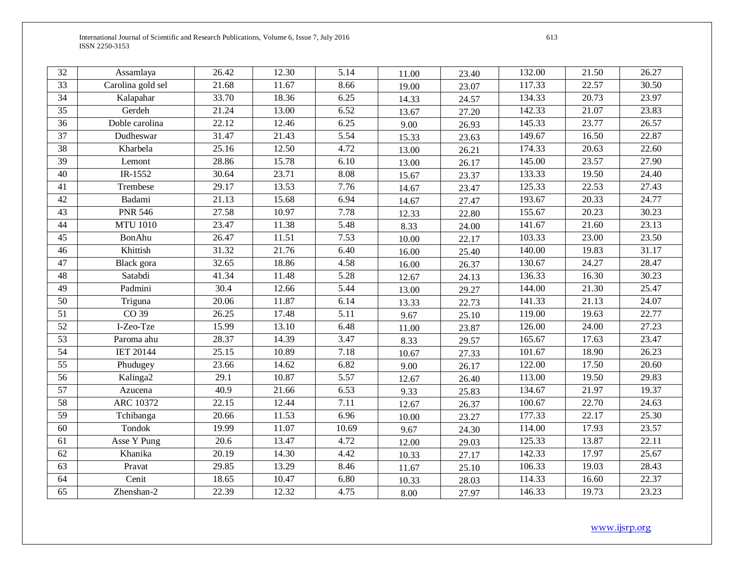### International Journal of Scientific and Research Publications, Volume 6, Issue 7, July 2016 613 ISSN 2250-3153

| 32              | Assamlaya            | 26.42             | 12.30 | 5.14  | 11.00 | 23.40 | 132.00 | 21.50 | 26.27 |
|-----------------|----------------------|-------------------|-------|-------|-------|-------|--------|-------|-------|
| 33              | Carolina gold sel    | 21.68             | 11.67 | 8.66  | 19.00 | 23.07 | 117.33 | 22.57 | 30.50 |
| 34              | Kalapahar            | 33.70             | 18.36 | 6.25  | 14.33 | 24.57 | 134.33 | 20.73 | 23.97 |
| $\overline{35}$ | Gerdeh               | 21.24             | 13.00 | 6.52  | 13.67 | 27.20 | 142.33 | 21.07 | 23.83 |
| 36              | Doble carolina       | 22.12             | 12.46 | 6.25  | 9.00  | 26.93 | 145.33 | 23.77 | 26.57 |
| 37              | Dudheswar            | 31.47             | 21.43 | 5.54  | 15.33 | 23.63 | 149.67 | 16.50 | 22.87 |
| 38              | Kharbela             | 25.16             | 12.50 | 4.72  | 13.00 | 26.21 | 174.33 | 20.63 | 22.60 |
| 39              | Lemont               | 28.86             | 15.78 | 6.10  | 13.00 | 26.17 | 145.00 | 23.57 | 27.90 |
| 40              | IR-1552              | 30.64             | 23.71 | 8.08  | 15.67 | 23.37 | 133.33 | 19.50 | 24.40 |
| 41              | Trembese             | 29.17             | 13.53 | 7.76  | 14.67 | 23.47 | 125.33 | 22.53 | 27.43 |
| 42              | Badami               | 21.13             | 15.68 | 6.94  | 14.67 | 27.47 | 193.67 | 20.33 | 24.77 |
| 43              | <b>PNR 546</b>       | 27.58             | 10.97 | 7.78  | 12.33 | 22.80 | 155.67 | 20.23 | 30.23 |
| 44              | <b>MTU 1010</b>      | 23.47             | 11.38 | 5.48  | 8.33  | 24.00 | 141.67 | 21.60 | 23.13 |
| 45              | BonAhu               | 26.47             | 11.51 | 7.53  | 10.00 | 22.17 | 103.33 | 23.00 | 23.50 |
| 46              | Khittish             | 31.32             | 21.76 | 6.40  | 16.00 | 25.40 | 140.00 | 19.83 | 31.17 |
| 47              | Black gora           | 32.65             | 18.86 | 4.58  | 16.00 | 26.37 | 130.67 | 24.27 | 28.47 |
| 48              | Satabdi              | 41.34             | 11.48 | 5.28  | 12.67 | 24.13 | 136.33 | 16.30 | 30.23 |
| 49              | Padmini              | 30.4              | 12.66 | 5.44  | 13.00 | 29.27 | 144.00 | 21.30 | 25.47 |
| 50              | Triguna              | 20.06             | 11.87 | 6.14  | 13.33 | 22.73 | 141.33 | 21.13 | 24.07 |
| $\overline{51}$ | CO <sub>39</sub>     | 26.25             | 17.48 | 5.11  | 9.67  | 25.10 | 119.00 | 19.63 | 22.77 |
| 52              | I-Zeo-Tze            | 15.99             | 13.10 | 6.48  | 11.00 | 23.87 | 126.00 | 24.00 | 27.23 |
| 53              | Paroma ahu           | 28.37             | 14.39 | 3.47  | 8.33  | 29.57 | 165.67 | 17.63 | 23.47 |
| 54              | <b>IET 20144</b>     | 25.15             | 10.89 | 7.18  | 10.67 | 27.33 | 101.67 | 18.90 | 26.23 |
| $\overline{55}$ | Phudugey             | 23.66             | 14.62 | 6.82  | 9.00  | 26.17 | 122.00 | 17.50 | 20.60 |
| 56              | Kalinga <sub>2</sub> | 29.1              | 10.87 | 5.57  | 12.67 | 26.40 | 113.00 | 19.50 | 29.83 |
| 57              | Azucena              | 40.9              | 21.66 | 6.53  | 9.33  | 25.83 | 134.67 | 21.97 | 19.37 |
| 58              | ARC 10372            | 22.15             | 12.44 | 7.11  | 12.67 | 26.37 | 100.67 | 22.70 | 24.63 |
| $\overline{59}$ | Tchibanga            | 20.66             | 11.53 | 6.96  | 10.00 | 23.27 | 177.33 | 22.17 | 25.30 |
| $\overline{60}$ | Tondok               | 19.99             | 11.07 | 10.69 | 9.67  | 24.30 | 114.00 | 17.93 | 23.57 |
| 61              | Asse Y Pung          | $\overline{20.6}$ | 13.47 | 4.72  | 12.00 | 29.03 | 125.33 | 13.87 | 22.11 |
| 62              | Khanika              | 20.19             | 14.30 | 4.42  | 10.33 | 27.17 | 142.33 | 17.97 | 25.67 |
| 63              | Pravat               | 29.85             | 13.29 | 8.46  | 11.67 | 25.10 | 106.33 | 19.03 | 28.43 |
| 64              | Cenit                | 18.65             | 10.47 | 6.80  | 10.33 | 28.03 | 114.33 | 16.60 | 22.37 |
| 65              | Zhenshan-2           | 22.39             | 12.32 | 4.75  | 8.00  | 27.97 | 146.33 | 19.73 | 23.23 |

[www.ijsrp.org](http://ijsrp.org/)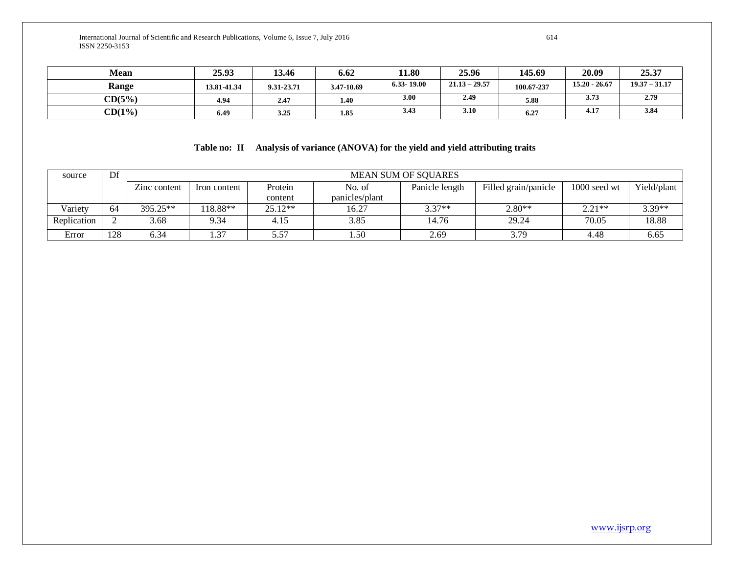International Journal of Scientific and Research Publications, Volume 6, Issue 7, July 2016 614 ISSN 2250-3153

| Mean   | 25.93       | 13.46      | 6.62       | 11.80          | 25.96           | 145.69     | 20.09           | 25.37           |
|--------|-------------|------------|------------|----------------|-----------------|------------|-----------------|-----------------|
| Range  | 13.81-41.34 | 9.31-23.71 | 3.47-10.69 | $6.33 - 19.00$ | $21.13 - 29.57$ | 100.67-237 | $15.20 - 26.67$ | $19.37 - 31.17$ |
| CD(5%) | 4.94        | 2.47       | 1.40       | 3.00           | 2.49            | 5.88       | 3.73            | 2.79            |
| CD(1%) | 6.49        | 3.25       | 1.85       | 3.43           | 3.10            | 6.27       | 4.17            | 3.84            |

| Table no: II Analysis of variance (ANOVA) for the yield and yield attributing traits |  |  |  |  |  |
|--------------------------------------------------------------------------------------|--|--|--|--|--|
|--------------------------------------------------------------------------------------|--|--|--|--|--|

| source      | Df  | MEAN SUM OF SQUARES |              |               |                |                |                      |                |             |  |  |
|-------------|-----|---------------------|--------------|---------------|----------------|----------------|----------------------|----------------|-------------|--|--|
|             |     | Zinc content        | fron content | Protein       | No. of         | Panicle length | Filled grain/panicle | $1000$ seed wt | Yield/plant |  |  |
|             |     |                     |              | content       | panicles/plant |                |                      |                |             |  |  |
| Variety     | 64  | 395.25**            | 18.88**      | $25.12**$     | 16.27          | $3.37**$       | $2.80**$             | $2.21**$       | 3.39**      |  |  |
| Replication |     | 3.68                | 9.34         | 4.15          | 3.85           | 14.76          | 29.24                | 70.05          | 18.88       |  |  |
| Error       | 128 | 6.34                | 1.37         | $5.5^{\circ}$ | 1.50           | 2.69           | 3.79                 | 4.48           | 6.65        |  |  |

[www.ijsrp.org](http://ijsrp.org/)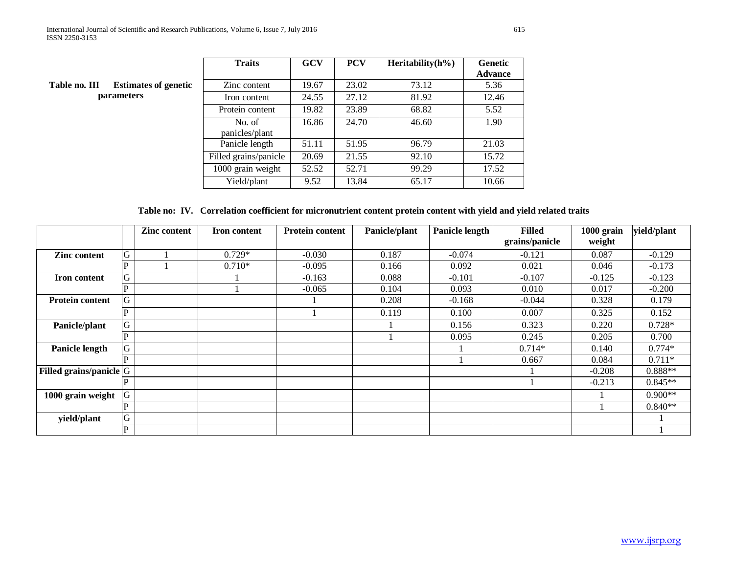|               |                             | <b>Traits</b>         | <b>GCV</b> | <b>PCV</b> | Heritability $(h\%)$ | Genetic        |
|---------------|-----------------------------|-----------------------|------------|------------|----------------------|----------------|
|               |                             |                       |            |            |                      | <b>Advance</b> |
| Table no. III | <b>Estimates of genetic</b> | Zinc content          | 19.67      | 23.02      | 73.12                | 5.36           |
|               | <i>parameters</i>           | Iron content          | 24.55      | 27.12      | 81.92                | 12.46          |
|               |                             | Protein content       | 19.82      | 23.89      | 68.82                | 5.52           |
|               |                             | No. of                | 16.86      | 24.70      | 46.60                | 1.90           |
|               |                             | panicles/plant        |            |            |                      |                |
|               |                             | Panicle length        | 51.11      | 51.95      | 96.79                | 21.03          |
|               |                             | Filled grains/panicle | 20.69      | 21.55      | 92.10                | 15.72          |
|               |                             | 1000 grain weight     | 52.52      | 52.71      | 99.29                | 17.52          |
|               |                             | Yield/plant           | 9.52       | 13.84      | 65.17                | 10.66          |

**Table no: IV. Correlation coefficient for micronutrient content protein content with yield and yield related traits**

|                             |                | Zinc content | <b>Iron content</b> | <b>Protein content</b> | Panicle/plant | Panicle length | <b>Filled</b><br>grains/panicle | 1000 grain<br>weight | yield/plant |
|-----------------------------|----------------|--------------|---------------------|------------------------|---------------|----------------|---------------------------------|----------------------|-------------|
| Zinc content                | G              |              | $0.729*$            | $-0.030$               | 0.187         | $-0.074$       | $-0.121$                        | 0.087                | $-0.129$    |
|                             | D              |              | $0.710*$            | $-0.095$               | 0.166         | 0.092          | 0.021                           | 0.046                | $-0.173$    |
| <b>Iron content</b>         | $\overline{G}$ |              |                     | $-0.163$               | 0.088         | $-0.101$       | $-0.107$                        | $-0.125$             | $-0.123$    |
|                             | D              |              |                     | $-0.065$               | 0.104         | 0.093          | 0.010                           | 0.017                | $-0.200$    |
| <b>Protein content</b>      | G              |              |                     |                        | 0.208         | $-0.168$       | $-0.044$                        | 0.328                | 0.179       |
|                             | P              |              |                     |                        | 0.119         | 0.100          | 0.007                           | 0.325                | 0.152       |
| Panicle/plant               | G              |              |                     |                        |               | 0.156          | 0.323                           | 0.220                | $0.728*$    |
|                             | P              |              |                     |                        |               | 0.095          | 0.245                           | 0.205                | 0.700       |
| Panicle length              | $\overline{G}$ |              |                     |                        |               |                | $0.714*$                        | 0.140                | $0.774*$    |
|                             | D              |              |                     |                        |               |                | 0.667                           | 0.084                | $0.711*$    |
| Filled grains/panicle $ G $ |                |              |                     |                        |               |                |                                 | $-0.208$             | $0.888**$   |
|                             | D              |              |                     |                        |               |                |                                 | $-0.213$             | $0.845**$   |
| 1000 grain weight           | G              |              |                     |                        |               |                |                                 |                      | $0.900**$   |
|                             | D              |              |                     |                        |               |                |                                 |                      | $0.840**$   |
| yield/plant                 | $\overline{G}$ |              |                     |                        |               |                |                                 |                      |             |
|                             | P              |              |                     |                        |               |                |                                 |                      |             |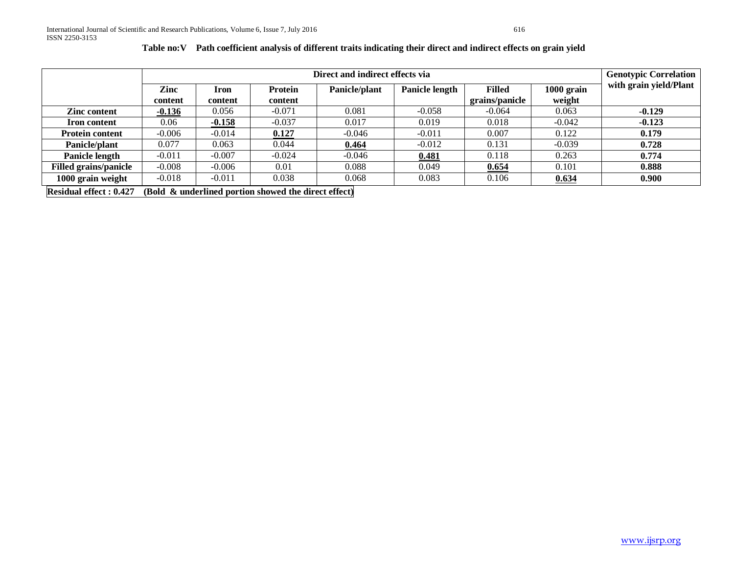## **Table no:V Path coefficient analysis of different traits indicating their direct and indirect effects on grain yield**

|                              |                 | <b>Genotypic Correlation</b> |                    |               |                |                                 |                      |                        |
|------------------------------|-----------------|------------------------------|--------------------|---------------|----------------|---------------------------------|----------------------|------------------------|
|                              | Zinc<br>content | Iron<br>content              | Protein<br>content | Panicle/plant | Panicle length | <b>Filled</b><br>grains/panicle | 1000 grain<br>weight | with grain yield/Plant |
| Zinc content                 | $-0.136$        | 0.056                        | $-0.071$           | 0.081         | $-0.058$       | $-0.064$                        | 0.063                | $-0.129$               |
| <b>Iron content</b>          | 0.06            | $-0.158$                     | $-0.037$           | 0.017         | 0.019          | 0.018                           | $-0.042$             | $-0.123$               |
| <b>Protein content</b>       | $-0.006$        | $-0.014$                     | 0.127              | $-0.046$      | $-0.011$       | 0.007                           | 0.122                | 0.179                  |
| Panicle/plant                | 0.077           | 0.063                        | 0.044              | 0.464         | $-0.012$       | 0.131                           | $-0.039$             | 0.728                  |
| <b>Panicle length</b>        | $-0.011$        | $-0.007$                     | $-0.024$           | $-0.046$      | 0.481          | 0.118                           | 0.263                | 0.774                  |
| <b>Filled grains/panicle</b> | $-0.008$        | $-0.006$                     | 0.01               | 0.088         | 0.049          | 0.654                           | 0.101                | 0.888                  |
| 1000 grain weight            | $-0.018$        | $-0.011$                     | 0.038              | 0.068         | 0.083          | 0.106                           | 0.634                | 0.900                  |

**Residual effect : 0.427 (Bold & underlined portion showed the direct effect)**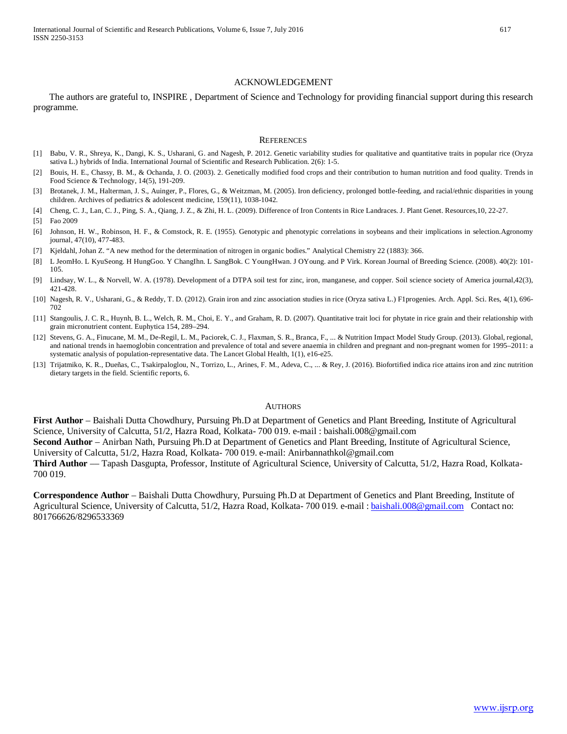### ACKNOWLEDGEMENT

 The authors are grateful to, INSPIRE , Department of Science and Technology for providing financial support during this research programme.

#### **REFERENCES**

- [1] Babu, V. R., Shreya, K., Dangi, K. S., Usharani, G. and Nagesh, P. 2012. Genetic variability studies for qualitative and quantitative traits in popular rice (Oryza sativa L.) hybrids of India. International Journal of Scientific and Research Publication. 2(6): 1-5.
- [2] Bouis, H. E., Chassy, B. M., & Ochanda, J. O. (2003). 2. Genetically modified food crops and their contribution to human nutrition and food quality. Trends in Food Science & Technology, 14(5), 191-209.
- [3] Brotanek, J. M., Halterman, J. S., Auinger, P., Flores, G., & Weitzman, M. (2005). Iron deficiency, prolonged bottle-feeding, and racial/ethnic disparities in young children. Archives of pediatrics & adolescent medicine, 159(11), 1038-1042.
- [4] Cheng, C. J., Lan, C. J., Ping, S. A., Qiang, J. Z., & Zhi, H. L. (2009). Difference of Iron Contents in Rice Landraces. J. Plant Genet. Resources,10, 22-27.
- [5] Fao 2009
- [6] Johnson, H. W., Robinson, H. F., & Comstock, R. E. (1955). Genotypic and phenotypic correlations in soybeans and their implications in selection.Agronomy journal, 47(10), 477-483.
- [7] Kjeldahl, Johan Z. "A new method for the determination of nitrogen in organic bodies." Analytical Chemistry 22 (1883): 366.
- [8] L JeomHo. L KyuSeong. H HungGoo. Y ChangIhn. L SangBok. C YoungHwan. J OYoung. and P Virk. Korean Journal of Breeding Science. (2008). 40(2): 101- 105.
- [9] Lindsay, W. L., & Norvell, W. A. (1978). Development of a DTPA soil test for zinc, iron, manganese, and copper. Soil science society of America journal,42(3), 421-428.
- [10] Nagesh, R. V., Usharani, G., & Reddy, T. D. (2012). Grain iron and zinc association studies in rice (Oryza sativa L.) F1progenies. Arch. Appl. Sci. Res, 4(1), 696- 702
- [11] Stangoulis, J. C. R., Huynh, B. L., Welch, R. M., Choi, E. Y., and Graham, R. D. (2007). Quantitative trait loci for phytate in rice grain and their relationship with grain micronutrient content. Euphytica 154, 289–294.
- [12] Stevens, G. A., Finucane, M. M., De-Regil, L. M., Paciorek, C. J., Flaxman, S. R., Branca, F., ... & Nutrition Impact Model Study Group. (2013). Global, regional, and national trends in haemoglobin concentration and prevalence of total and severe anaemia in children and pregnant and non-pregnant women for 1995–2011: a systematic analysis of population-representative data. The Lancet Global Health, 1(1), e16-e25.
- [13] Trijatmiko, K. R., Dueñas, C., Tsakirpaloglou, N., Torrizo, L., Arines, F. M., Adeva, C., ... & Rey, J. (2016). Biofortified indica rice attains iron and zinc nutrition dietary targets in the field. Scientific reports, 6.

### **AUTHORS**

**First Author** – Baishali Dutta Chowdhury, Pursuing Ph.D at Department of Genetics and Plant Breeding, Institute of Agricultural Science, University of Calcutta, 51/2, Hazra Road, Kolkata- 700 019. e-mail : baishali.008@gmail.com **Second Author** – Anirban Nath, Pursuing Ph.D at Department of Genetics and Plant Breeding, Institute of Agricultural Science, University of Calcutta, 51/2, Hazra Road, Kolkata- 700 019. e-mail: Anirbannathkol@gmail.com

**Third Author** –– Tapash Dasgupta, Professor, Institute of Agricultural Science, University of Calcutta, 51/2, Hazra Road, Kolkata-700 019.

**Correspondence Author** – Baishali Dutta Chowdhury, Pursuing Ph.D at Department of Genetics and Plant Breeding, Institute of Agricultural Science, University of Calcutta, 51/2, Hazra Road, Kolkata- 700 019. e-mail : [baishali.008@gmail.com](mailto:baishali.008@gmail.com) Contact no: 801766626/8296533369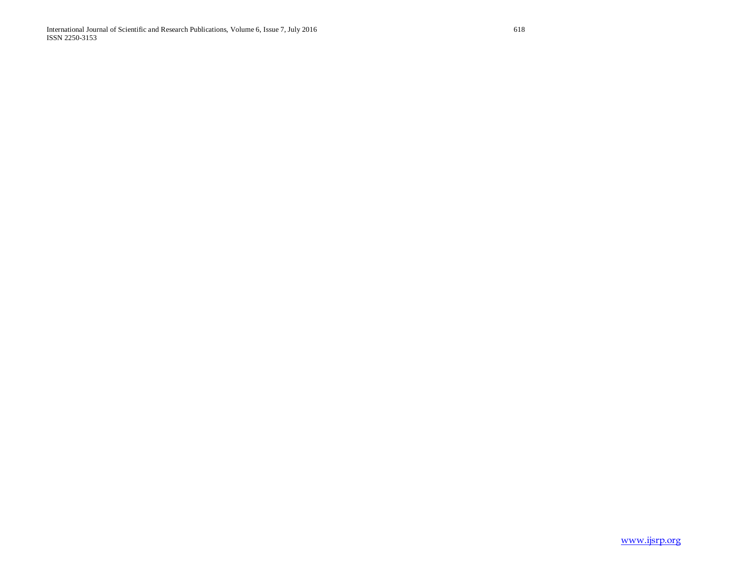International Journal of Scientific and Research Publications, Volume 6, Issue 7, July 2016 618 ISSN 2250-3153